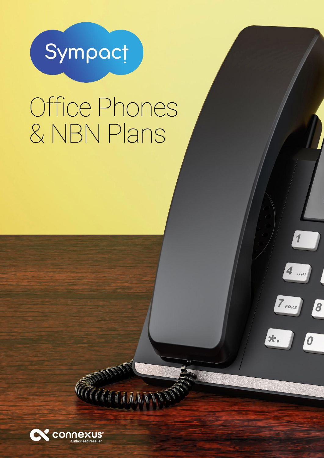

# Office Phones & NBN Plans

 $\overline{\mathbf{1}}$ 

 $4$  GHI

 $\overline{\mathcal{S}}$ 

 $\boldsymbol{0}$ 

7 PQRS

\*.



**TITIQAAN**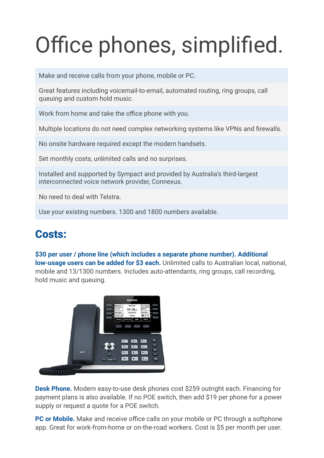## Office phones, simplified.

Make and receive calls from your phone, mobile or PC.

Great features including voicemail-to-email, automated routing, ring groups, call queuing and custom hold music.

Work from home and take the office phone with you.

Multiple locations do not need complex networking systems like VPNs and firewalls.

No onsite hardware required except the modern handsets.

Set monthly costs, unlimited calls and no surprises.

Installed and supported by Sympact and provided by Australia's third-largest interconnected voice network provider, Connexus.

No need to deal with Telstra.

Use your existing numbers. 1300 and 1800 numbers available.

### Costs:

#### **\$30 per user / phone line (which includes a separate phone number). Additional low-usage users can be added for \$3 each.** Unlimited calls to Australian local, national, mobile and 13/1300 numbers. Includes auto-attendants, ring groups, call recording, hold music and queuing.



**Desk Phone.** Modern easy-to-use desk phones cost \$259 outright each. Financing for payment plans is also available. If no POE switch, then add \$19 per phone for a power supply or request a quote for a POE switch.

**PC or Mobile.** Make and receive office calls on your mobile or PC through a softphone app. Great for work-from-home or on-the-road workers. Cost is \$5 per month per user.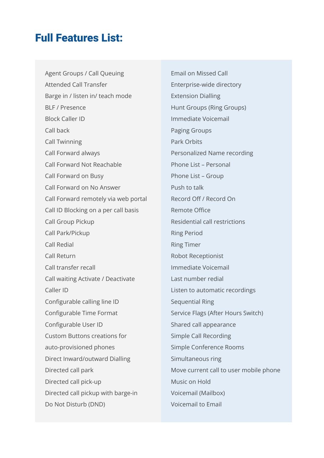### Full Features List:

Agent Groups / Call Queuing Attended Call Transfer Barge in / listen in/ teach mode BLF / Presence Block Caller ID Call back Call Twinning Call Forward always Call Forward Not Reachable Call Forward on Busy Call Forward on No Answer Call Forward remotely via web portal Call ID Blocking on a per call basis Call Group Pickup Call Park/Pickup Call Redial Call Return Call transfer recall Call waiting Activate / Deactivate Caller ID Configurable calling line ID Configurable Time Format Configurable User ID Custom Buttons creations for auto-provisioned phones Direct Inward/outward Dialling Directed call park Directed call pick-up Directed call pickup with barge-in Do Not Disturb (DND)

Email on Missed Call Enterprise-wide directory Extension Dialling Hunt Groups (Ring Groups) Immediate Voicemail Paging Groups Park Orbits Personalized Name recording Phone List – Personal Phone List – Group Push to talk Record Off / Record On Remote Office Residential call restrictions Ring Period Ring Timer Robot Receptionist Immediate Voicemail Last number redial Listen to automatic recordings Sequential Ring Service Flags (After Hours Switch) Shared call appearance Simple Call Recording Simple Conference Rooms Simultaneous ring Move current call to user mobile phone Music on Hold Voicemail (Mailbox) Voicemail to Email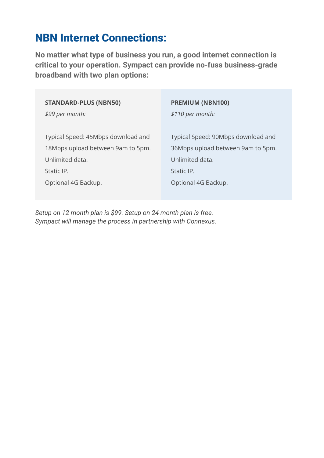## NBN Internet Connections:

**No matter what type of business you run, a good internet connection is critical to your operation. Sympact can provide no-fuss business-grade broadband with two plan options:**

| <b>STANDARD-PLUS (NBN50)</b>       | <b>PREMIUM (NBN100)</b>            |
|------------------------------------|------------------------------------|
| \$99 per month:                    | \$110 per month:                   |
| Typical Speed: 45Mbps download and | Typical Speed: 90Mbps download and |
| 18Mbps upload between 9am to 5pm.  | 36Mbps upload between 9am to 5pm.  |
| Unlimited data.                    | Unlimited data.                    |
| Static IP.                         | Static IP.                         |
| Optional 4G Backup.                | Optional 4G Backup.                |
|                                    |                                    |

*Setup on 12 month plan is \$99. Setup on 24 month plan is free. Sympact will manage the process in partnership with Connexus.*